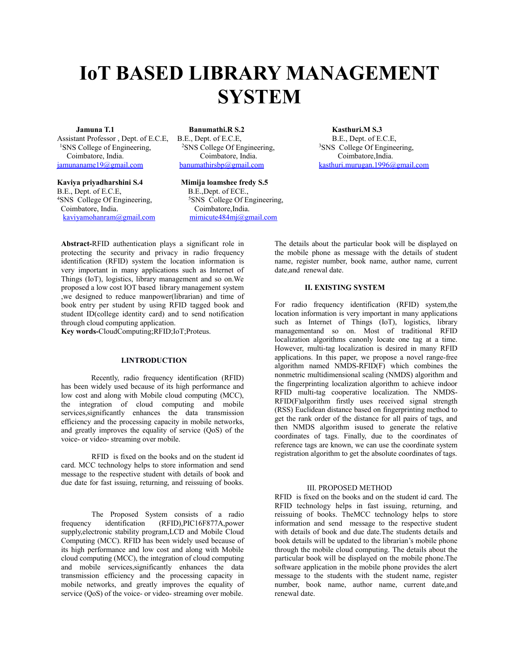# **IoT BASED LIBRARY MANAGEMENT SYSTEM**

Assistant Professor , Dept. of E.C.E, B.E., Dept. of E.C.E, <sup>1</sup>SNS College of Engineering, <sup>2</sup>SNS College Of Engineering, Coimbatore, India.<br>
imunaname19@gmail.com banumathirsbp@gmail.com

**Kaviya priyadharshini S.4 Mimija loamshee fredy S.5**<br>B.E., Dept. of E.C.E, B.E., Dept. of ECE., B.E., Dept. of E.C.E,<br><sup>4</sup>SNS College Of Engineering, Coimbatore, India. [kaviyamohanram@gmail.com](mailto:kaviyamohanram@gmail.com) [mimicute484mj@gmail.com](mailto:mimicute484mj@gmail.com) 

*<u>Banumathi.R S.2</u>* [banumathirsbp@gmail.com](mailto:banumathirsbp@gmail.com)

<sup>5</sup>SNS College Of Engineering, Coimbatore, India.

**Kasthuri.M S.3** B.E., Dept. of E.C.E, <sup>3</sup>SNS College Of Engineering, Coimbatore,India. [kasthuri.murugan.1996@gmail.com](mailto:Kasthuri.murugan.1996@gmail.com)

**Abstract-**RFID authentication plays a significant role in protecting the security and privacy in radio frequency identification (RFID) system the location information is very important in many applications such as Internet of Things (IoT), logistics, library management and so on.We proposed a low cost IOT based library management system ,we designed to reduce manpower(librarian) and time of book entry per student by using RFID tagged book and student ID(college identity card) and to send notification through cloud computing application.

**Key words-**CloudComputing;RFID;IoT;Proteus.

## **I.INTRODUCTION**

Recently, radio frequency identification (RFID) has been widely used because of its high performance and low cost and along with Mobile cloud computing (MCC), the integration of cloud computing and mobile services,significantly enhances the data transmission efficiency and the processing capacity in mobile networks, and greatly improves the equality of service (QoS) of the voice- or video- streaming over mobile.

RFID is fixed on the books and on the student id card. MCC technology helps to store information and send message to the respective student with details of book and due date for fast issuing, returning, and reissuing of books.

The Proposed System consists of a radio frequency identification (RFID),PIC16F877A,power supply,electronic stability program,LCD and Mobile Cloud Computing (MCC). RFID has been widely used because of its high performance and low cost and along with Mobile cloud computing (MCC), the integration of cloud computing and mobile services,significantly enhances the data transmission efficiency and the processing capacity in mobile networks, and greatly improves the equality of service ( $\cos$ ) of the voice- or video- streaming over mobile.

The details about the particular book will be displayed on the mobile phone as message with the details of student name, register number, book name, author name, current date,and renewal date.

## **II. EXISTING SYSTEM**

For radio frequency identification (RFID) system,the location information is very important in many applications such as Internet of Things (IoT), logistics, library managementand so on. Most of traditional RFID localization algorithms canonly locate one tag at a time. However, multi-tag localization is desired in many RFID applications. In this paper, we propose a novel range-free algorithm named NMDS-RFID(F) which combines the nonmetric multidimensional scaling (NMDS) algorithm and the fingerprinting localization algorithm to achieve indoor RFID multi-tag cooperative localization. The NMDS-RFID(F)algorithm firstly uses received signal strength (RSS) Euclidean distance based on fingerprinting method to get the rank order of the distance for all pairs of tags, and then NMDS algorithm isused to generate the relative coordinates of tags. Finally, due to the coordinates of reference tags are known, we can use the coordinate system registration algorithm to get the absolute coordinates of tags.

#### III. PROPOSED METHOD

RFID is fixed on the books and on the student id card. The RFID technology helps in fast issuing, returning, and reissuing of books. TheMCC technology helps to store information and send message to the respective student with details of book and due date.The students details and book details will be updated to the librarian's mobile phone through the mobile cloud computing. The details about the particular book will be displayed on the mobile phone.The software application in the mobile phone provides the alert message to the students with the student name, register number, book name, author name, current date,and renewal date.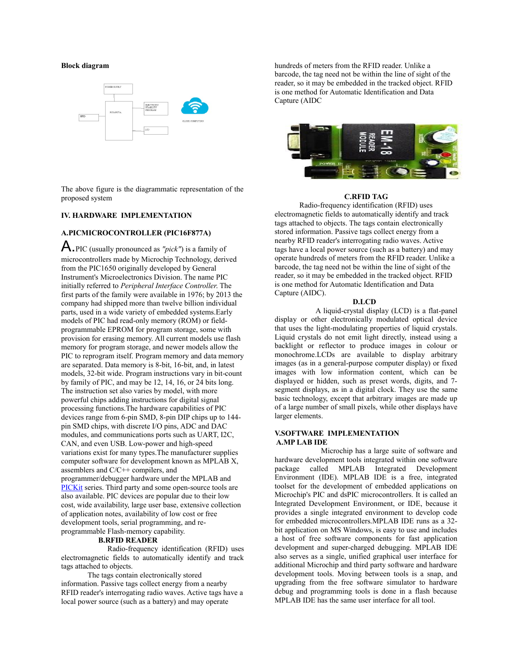## **Block diagram**



The above figure is the diagrammatic representation of the proposed system

# **IV. HARDWARE IMPLEMENTATION**

# **A.PICMICROCONTROLLER (PIC16F877A)**

A.PIC (usually pronounced as *"pick"*) is a family of microcontrollers made by Microchip Technology, derived from the PIC1650 originally developed by General Instrument's Microelectronics Division. The name PIC initially referred to *Peripheral Interface Controller*. The first parts of the family were available in 1976; by 2013 the company had shipped more than twelve billion individual parts, used in a wide variety of embedded systems.Early models of PIC had read-only memory (ROM) or fieldprogrammable EPROM for program storage, some with provision for erasing memory. All current models use flash memory for program storage, and newer models allow the PIC to reprogram itself. Program memory and data memory are separated. Data memory is 8-bit, 16-bit, and, in latest models, 32-bit wide. Program instructions vary in bit-count by family of PIC, and may be 12, 14, 16, or 24 bits long. The instruction set also varies by model, with more powerful chips adding instructions for digital signal processing functions.The hardware capabilities of PIC devices range from 6-pin SMD, 8-pin DIP chips up to 144 pin SMD chips, with discrete I/O pins, ADC and DAC modules, and communications ports such as UART, I2C, CAN, and even USB. Low-power and high-speed variations exist for many types.The manufacturer supplies computer software for development known as MPLAB X, assemblers and C/C++ compilers, and programmer/debugger hardware under the MPLAB and [PICKit](https://en.wikipedia.org/wiki/PICKit) series. Third party and some open-source tools are also available. PIC devices are popular due to their low cost, wide availability, large user base, extensive collection of application notes, availability of low cost or free development tools, serial programming, and reprogrammable Flash-memory capability.

## **B.RFID READER**

 Radio-frequency identification (RFID) uses electromagnetic fields to automatically identify and track tags attached to objects.

 The tags contain electronically stored information. Passive tags collect energy from a nearby RFID reader's interrogating radio waves. Active tags have a local power source (such as a battery) and may operate

hundreds of meters from the RFID reader. Unlike a barcode, the tag need not be within the line of sight of the reader, so it may be embedded in the tracked object. RFID is one method for Automatic Identification and Data Capture (AIDC



#### **C.RFID TAG**

 Radio-frequency identification (RFID) uses electromagnetic fields to automatically identify and track tags attached to objects. The tags contain electronically stored information. Passive tags collect energy from a nearby RFID reader's interrogating radio waves. Active tags have a local power source (such as a battery) and may operate hundreds of meters from the RFID reader. Unlike a barcode, the tag need not be within the line of sight of the reader, so it may be embedded in the tracked object. RFID is one method for Automatic Identification and Data Capture (AIDC).

## **D.LCD**

A liquid-crystal display (LCD) is a flat-panel display or other electronically modulated optical device that uses the light-modulating properties of liquid crystals. Liquid crystals do not emit light directly, instead using a backlight or reflector to produce images in colour or monochrome.LCDs are available to display arbitrary images (as in a general-purpose computer display) or fixed images with low information content, which can be displayed or hidden, such as preset words, digits, and 7 segment displays, as in a digital clock. They use the same basic technology, except that arbitrary images are made up of a large number of small pixels, while other displays have larger elements.

# **V.SOFTWARE IMPLEMENTATION A.MP LAB IDE**

 Microchip has a large suite of software and hardware development tools integrated within one software package called MPLAB Integrated Development Environment (IDE). MPLAB IDE is a free, integrated toolset for the development of embedded applications on Microchip's PIC and dsPIC microcontrollers. It is called an Integrated Development Environment, or IDE, because it provides a single integrated environment to develop code for embedded microcontrollers.MPLAB IDE runs as a 32 bit application on MS Windows, is easy to use and includes a host of free software components for fast application development and super-charged debugging. MPLAB IDE also serves as a single, unified graphical user interface for additional Microchip and third party software and hardware development tools. Moving between tools is a snap, and upgrading from the free software simulator to hardware debug and programming tools is done in a flash because MPLAB IDE has the same user interface for all tool.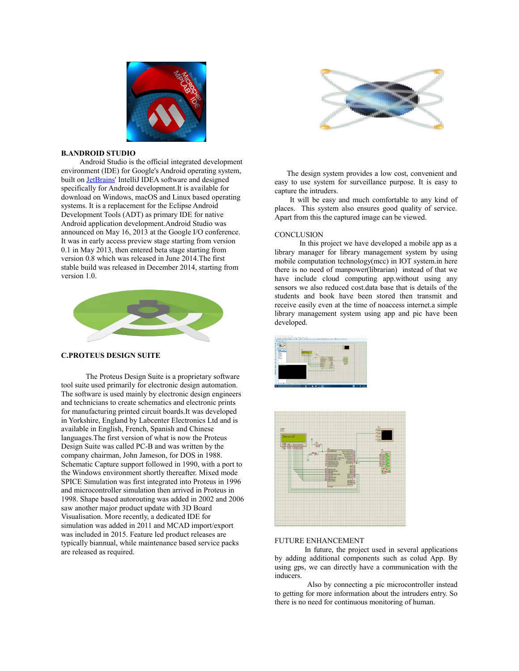

# **B.ANDROID STUDIO**

 Android Studio is the official integrated development environment (IDE) for Google's Android operating system, built on **JetBrains'** IntelliJ IDEA software and designed specifically for Android development.It is available for download on Windows, macOS and Linux based operating systems. It is a replacement for the Eclipse Android Development Tools (ADT) as primary IDE for native Android application development.Android Studio was announced on May 16, 2013 at the Google I/O conference. It was in early access preview stage starting from version 0.1 in May 2013, then entered beta stage starting from version 0.8 which was released in June 2014.The first stable build was released in December 2014, starting from version 1.0.



# **C.PROTEUS DESIGN SUITE**

 The Proteus Design Suite is a proprietary software tool suite used primarily for electronic design automation. The software is used mainly by electronic design engineers and technicians to create schematics and electronic prints for manufacturing printed circuit boards.It was developed in Yorkshire, England by Labcenter Electronics Ltd and is available in English, French, Spanish and Chinese languages.The first version of what is now the Proteus Design Suite was called PC-B and was written by the company chairman, John Jameson, for DOS in 1988. Schematic Capture support followed in 1990, with a port to the Windows environment shortly thereafter. Mixed mode SPICE Simulation was first integrated into Proteus in 1996 and microcontroller simulation then arrived in Proteus in 1998. Shape based autorouting was added in 2002 and 2006 saw another major product update with 3D Board Visualisation. More recently, a dedicated IDE for simulation was added in 2011 and MCAD import/export was included in 2015. Feature led product releases are typically biannual, while maintenance based service packs are released as required.



 The design system provides a low cost, convenient and easy to use system for surveillance purpose. It is easy to capture the intruders.

 It will be easy and much comfortable to any kind of places. This system also ensures good quality of service. Apart from this the captured image can be viewed.

#### **CONCLUSION**

 In this project we have developed a mobile app as a library manager for library management system by using mobile computation technology(mcc) in IOT system.in here there is no need of manpower(librarian) instead of that we have include cloud computing app.without using any sensors we also reduced cost.data base that is details of the students and book have been stored then transmit and receive easily even at the time of noaccess internet.a simple library management system using app and pic have been developed.





## FUTURE ENHANCEMENT

In future, the project used in several applications by adding additional components such as colud App. By using gps, we can directly have a communication with the inducers.

 Also by connecting a pic microcontroller instead to getting for more information about the intruders entry. So there is no need for continuous monitoring of human.